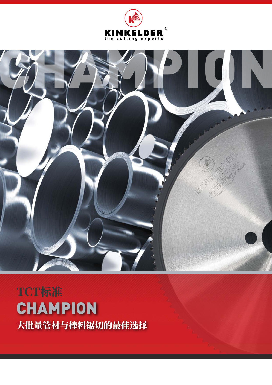



# TCT标准 **CHAMPION** 大批量管材与棒料锯切的最佳选择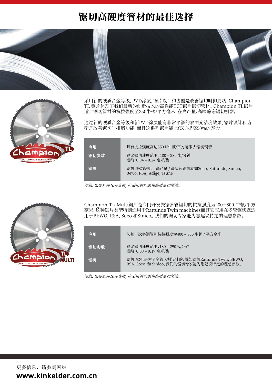### 锯切高硬度管材的最佳选择





采用新的硬质合金等级,PVD涂层,锯片设计和齿型是改善锯切时排屑功,Champion TL 锯片体现了我们最新的创新技术的高性能TCT锯片锯切管材。 Champion TL锯片 适合锯切管材的抗拉强度至850牛顿/平方毫米,在高产量/高端静态锯切机器。

通过新的硬质合金等级和新PVD涂层能有非常平滑的表面光洁度效果,锯片设计和齿 型是改善锯切时排屑功能,而且这系列锯片能比CX 3提高50%的寿命。

| 应用   | 具有抗拉强度高达850 N牛顿/平方毫米去锯切钢管                                                 |
|------|---------------------------------------------------------------------------|
| 锯切参数 | 建议锯切速度范围: 180-280 米/分钟<br>进给: 0.04 - 0.24 毫米/齿                            |
| 锯机   | 锯机:静态锯机 – 高产量 / 高负荷锯机就如Soco, Rattunde, Sinico,<br>Bewo, RSA, Adige, Tsune |

注意: 如要延伸10%寿命, 应采用钢丝刷和高质量切削油。



Champion TL Multi锯片是专门开发去锯多管锯切的抗拉强度为400-800 牛顿/平方 毫米,这种锯片类型特别适用于Rattunde Twin machines而其它应用在多管锯切就适 用于BEWO, RSA, Soco 和Sinico。 我们的锯切专家能为您建议特定的理想参数。

| 应用   | 切割一次多钢管和抗拉强度为400-800牛顿 / 平方毫米                                                        |
|------|--------------------------------------------------------------------------------------|
| 锯切参数 | 建议锯切速度范围: 180 - 290米/分钟<br>进给: 0.03 - 0.19 毫米/齿                                      |
| 锯机   | 锯机:锯机是为了多管切割设计的, 就如锯机Rattunde Twin, BEWO,<br>RSA, Soco 和 Sinico。我们的锯切专家能为您建议特定的理想参数。 |

注意: 如要延伸10%寿命, 应采用钢丝刷和高质量切削油。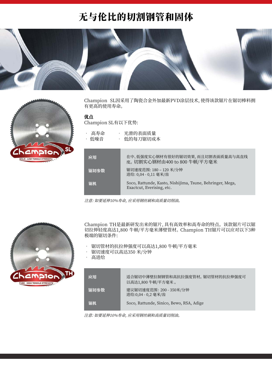## 无与伦比的切割钢管和固体





Champion SL因采用了陶瓷合金外加最新PVD涂层技术,使得该款锯片在锯切棒料拥 有更高的使用寿命。

#### 优点

锯机

Champion SL有以下优势:

| 高寿命<br>• 低噪音 | • 光滑的表面质量<br>• 低的每刀锯切成本                                    |
|--------------|------------------------------------------------------------|
| 应用           | 在中、低强度实心钢材有很好的锯切效果, 而且切割表面质<br>度。切割实心钢材由400 to 800 牛顿/平方毫米 |
| 锯切参数         | 锯切速度范围: 180-120 米/分钟<br>进给: 0,04 - 0,11 毫米/齿               |

Exactcut, Everising, etc.

注意: 如要延伸10%寿命, 应采用钢丝刷和高质量切削油。



Champion TH是最新研发出来的锯片,具有高效率和高寿命的特点。 该款锯片可以锯 切拉伸轻度高达1,800 牛顿/平方毫米薄壁管材。 Champion TH锯片可以应对以下3种 极端的锯切条件:

Soco, Rattunde, Kasto, Nishijima, Tsune, Behringer, Mega,

量高与高直线

- 锯切管材的抗拉伸强度可以高达1,800 牛顿/平方毫米<br>• 锯切速度可以高达350 米/分钟
- 锯切速度可以高达350 米/分钟
- 高进给

| 应用   | 适合锯切中薄壁拉制钢管和高抗拉强度管材。 锯切管材的抗拉伸强度可<br>以高达1,800 牛顿/平方毫米 。 |
|------|--------------------------------------------------------|
| 锯切参数 | 建议锯切速度范围: 200 - 350米/分钟<br>进给:0,04 - 0,2 毫米/齿          |
| 锯机   | Soco, Rattunde, Sinico, Bewo, RSA, Adige               |

注意: 如要延伸10%寿命, 应采用钢丝刷和高质量切削油。